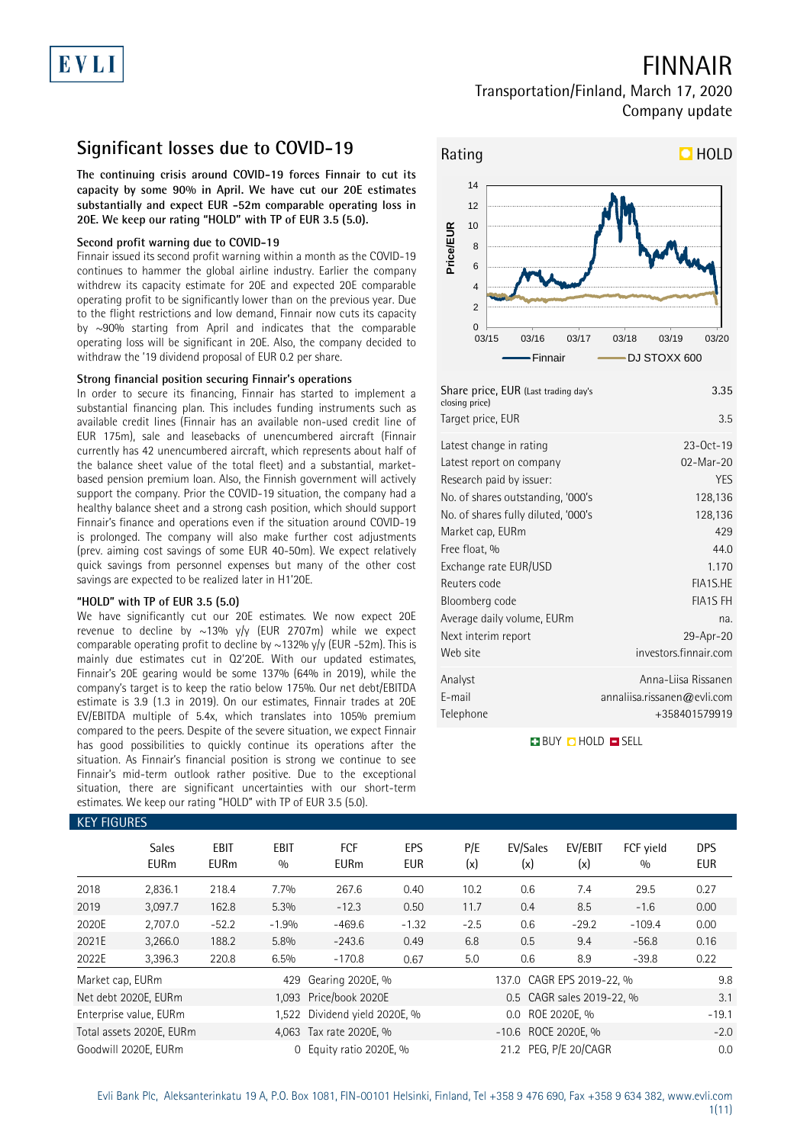## FINNAIR

### Transportation/Finland, March 17, 2020 Company update

### **Significant losses due to COVID-19**

**The continuing crisis around COVID-19 forces Finnair to cut its capacity by some 90% in April. We have cut our 20E estimates substantially and expect EUR -52m comparable operating loss in 20E. We keep our rating "HOLD" with TP of EUR 3.5 (5.0).**

### **Second profit warning due to COVID-19**

Finnair issued its second profit warning within a month as the COVID-19 continues to hammer the global airline industry. Earlier the company withdrew its capacity estimate for 20E and expected 20E comparable operating profit to be significantly lower than on the previous year. Due to the flight restrictions and low demand, Finnair now cuts its capacity by ~90% starting from April and indicates that the comparable operating loss will be significant in 20E. Also, the company decided to withdraw the '19 dividend proposal of EUR 0.2 per share.

### **Strong financial position securing Finnair's operations**

In order to secure its financing, Finnair has started to implement a substantial financing plan. This includes funding instruments such as available credit lines (Finnair has an available non-used credit line of EUR 175m), sale and leasebacks of unencumbered aircraft (Finnair currently has 42 unencumbered aircraft, which represents about half of the balance sheet value of the total fleet) and a substantial, marketbased pension premium loan. Also, the Finnish government will actively support the company. Prior the COVID-19 situation, the company had a healthy balance sheet and a strong cash position, which should support Finnair's finance and operations even if the situation around COVID-19 is prolonged. The company will also make further cost adjustments (prev. aiming cost savings of some EUR 40-50m). We expect relatively quick savings from personnel expenses but many of the other cost savings are expected to be realized later in H1'20E.

### **"HOLD" with TP of EUR 3.5 (5.0)**

We have significantly cut our 20E estimates. We now expect 20E revenue to decline by  $\sim$ 13% y/y (EUR 2707m) while we expect comparable operating profit to decline by  $\sim$ 132% y/y (EUR -52m). This is mainly due estimates cut in Q2'20E. With our updated estimates, Finnair's 20E gearing would be some 137% (64% in 2019), while the company's target is to keep the ratio below 175%. Our net debt/EBITDA estimate is 3.9 (1.3 in 2019). On our estimates, Finnair trades at 20E EV/EBITDA multiple of 5.4x, which translates into 105% premium compared to the peers. Despite of the severe situation, we expect Finnair has good possibilities to quickly continue its operations after the situation. As Finnair's financial position is strong we continue to see Finnair's mid-term outlook rather positive. Due to the exceptional situation, there are significant uncertainties with our short-term estimates. We keep our rating "HOLD" with TP of EUR 3.5 (5.0).



| 3.35                        |
|-----------------------------|
| 3.5                         |
| $23-0ct-19$                 |
| 02-Mar-20                   |
| <b>YES</b>                  |
| 128,136                     |
| 128,136                     |
| 429                         |
| 44.0                        |
| 1.170                       |
| FIA1S.HE                    |
| <b>FIA1S FH</b>             |
| na.                         |
| 29-Apr-20                   |
| investors.finnair.com       |
| Anna-Liisa Rissanen         |
| annaliisa.rissanen@evli.com |
| +358401579919               |
|                             |

**BUY O HOLD O SELL** 

| <b>KEY FIGURES</b> |                             |                     |                    |                           |                   |                     |                           |                           |                  |                          |  |
|--------------------|-----------------------------|---------------------|--------------------|---------------------------|-------------------|---------------------|---------------------------|---------------------------|------------------|--------------------------|--|
|                    | <b>Sales</b><br><b>EURm</b> | EBIT<br><b>EURm</b> | <b>EBIT</b><br>0/0 | <b>FCF</b><br><b>EURm</b> | EPS<br><b>EUR</b> | P/E<br>(x)          | EV/Sales<br>(x)           | EV/EBIT<br>(x)            | FCF yield<br>0/0 | <b>DPS</b><br><b>EUR</b> |  |
| 2018               | 2,836.1                     | 218.4               | 7.7%               | 267.6                     | 0.40              | 10.2                | 0.6                       | 7.4                       | 29.5             | 0.27                     |  |
| 2019               | 3,097.7                     | 162.8               | 5.3%               | $-12.3$                   | 0.50              | 11.7                | 0.4                       | 8.5                       | $-1.6$           | 0.00                     |  |
| 2020E              | 2,707.0                     | $-52.2$             | $-1.9%$            | $-469.6$                  | $-1.32$           | $-2.5$              | 0.6                       | $-29.2$                   | $-109.4$         | 0.00                     |  |
| 2021E              | 3,266.0                     | 188.2               | 5.8%               | $-243.6$                  | 0.49              | 6.8                 | 0.5                       | 9.4                       | $-56.8$          | 0.16                     |  |
| 2022E              | 3,396.3                     | 220.8               | 6.5%               | $-170.8$                  | 0.67              | 5.0                 | 0.6                       | 8.9                       | $-39.8$          | 0.22                     |  |
| Market cap, EURm   |                             |                     | 429                | Gearing 2020E, %          |                   |                     | 137.0 CAGR EPS 2019-22, % |                           |                  | 9.8                      |  |
|                    | Net debt 2020E, EURm        |                     |                    | 1,093 Price/book 2020E    |                   |                     |                           | 0.5 CAGR sales 2019-22, % |                  | 3.1                      |  |
|                    | Enterprise value, EURm      |                     | 1.522              | Dividend yield 2020E, %   |                   |                     | ROE 2020E. %<br>$0.0\,$   |                           |                  |                          |  |
|                    | Total assets 2020E, EURm    |                     |                    | 4,063 Tax rate 2020E, %   |                   | -10.6 ROCE 2020E, % |                           | $-2.0$                    |                  |                          |  |
|                    | Goodwill 2020E. EURm        |                     | $\Omega$           | Equity ratio 2020E, %     |                   |                     | 21.2 PEG. P/E 20/CAGR     | 0.0                       |                  |                          |  |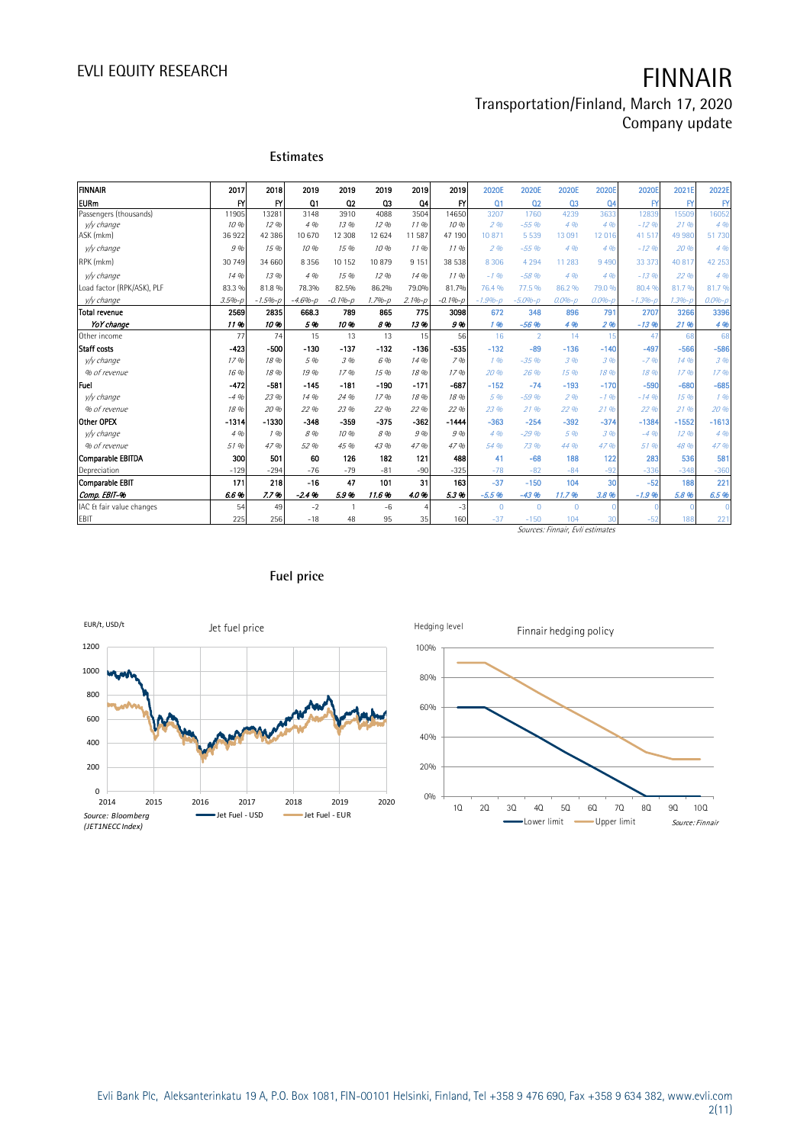### Transportation/Finland, March 17, 2020 Company update

| FINNAIR                              | 2017          | 2018           | 2019        | 2019           | 2019          | 2019         | 2019              | 2020E          | 2020E           | 2020E          | 2020E           | <b>2020E</b>      | 2021              | 2022E        |
|--------------------------------------|---------------|----------------|-------------|----------------|---------------|--------------|-------------------|----------------|-----------------|----------------|-----------------|-------------------|-------------------|--------------|
|                                      |               |                |             |                |               |              |                   |                |                 |                |                 |                   |                   |              |
| <b>IEURm</b>                         | FY            | <b>FY</b>      | 01          | Q <sub>2</sub> | 03            | Q4           | $\mathsf{f}$      | Q <sub>1</sub> | 02              | Q <sub>3</sub> | 04              | $\mathsf{F}$      | $\mathsf{F}$      | FY           |
| Passengers (thousands)<br>v/y change | 11905<br>10 % | 13281<br>12.96 | 3148<br>4 % | 3910<br>13 %   | 4088<br>12.96 | 3504<br>1196 | 14650<br>10 %     | 3207<br>296    | 1760<br>$-5596$ | 4239<br>4%     | 3633<br>4%      | 12839<br>$-12.96$ | 15509<br>21 %     | 16052<br>496 |
| ASK (mkm)                            | 36922         | 42 38 6        | 10 670      | 12 308         | 12 6 24       | 11 587       | 47 190            | 10871          | 5 5 3 9         | 13 091         | 12016           | 41 517            | 49 980            | 51730        |
| v/v change                           | 9%            | 15 %           | 10 %        | 15 %           | 10 %          | 1196         | 11.96             | 296            | $-55.96$        | 4%             | 4%              | $-12.96$          | 20%               | 496          |
| RPK (mkm)                            | 30 749        | 34 660         | 8356        | 10 15 2        | 10879         | 9 1 5 1      | 38 538            | 8 3 0 6        | 4 2 9 4         | 11 283         | 9 4 9 0         | 33 373            | 40 817            | 42 253       |
| v/y change                           | 14 %          | 13 %           | 4 %         | 15 %           | 12%           | 14 %         | 1196              | $-1.96$        | $-58%$          | 4%             | 496             | $-13.96$          | 22 %              | 4.96         |
| Load factor (RPK/ASK), PLF           | 83.3 %        | 81.8%          | 78.3%       | 82.5%          | 86.2%         | 79.0%        | 81.7%             | 76.4 %         | 77.5 %          | 86.2 %         | 79.0 %          | 80.4 %            | 81.7%             | 81.7%        |
| v/y change                           | $3.5% - p$    | $-1.5% - p$    | $-4.6% - p$ | $-0.1% - p$    | $1.7% - p$    | $2.1%-p$     | $-0.1% - p$       | $-1.9% - p$    | $-5.0% - p$     | $0.0% - p$     | $0.0% - p$      | $-1.3%$           | $1.396 - i$       | $0.0% - p$   |
| Total revenue                        | 2569          | 2835           | 668.3       | 789            | 865           | 775          | 3098              | 672            | 348             | 896            | 791             | 2707              | 3266              | 3396         |
| YoY change                           | 11%           | 10%            | 5%          | 10%            | 8%            | 13%          | 9%                | 1 %            | $-56%$          | 4%             | 2 <sub>96</sub> | $-13.96$          | 21 %              | 4%           |
| Other income                         | 77            | 74             | 15          | 13             | 13            | 15           | 56                | 16             | $\overline{2}$  | 14             | 15              | 47                | 68                | 68           |
| Staff costs                          | $-423$        | $-500$         | $-130$      | $-137$         | $-132$        | $-136$       | $-535$            | $-132$         | $-89$           | $-136$         | $-140$          | $-497$            | $-566$            | $-586$       |
| v/v change                           | 17%           | 18 %           | 5 %         | 3 %            | 6 %           | 14 %         | 7%                | 196            | $-35%$          | 3 %            | 396             | $-7.96$           | 14 %              | 3 %          |
| % of revenue                         | 16 %          | 18 %           | 19%         | 17%            | 15 %          | 18%          | 17.9 <sub>h</sub> | 20%            | 26 %            | 15 %           | 18 %            | 18.9 <sub>h</sub> | 17.9 <sub>h</sub> | 17.96        |
| Fuel                                 | $-472$        | $-581$         | $-145$      | $-181$         | $-190$        | $-171$       | $-687$            | $-152$         | $-74$           | $-193$         | $-170$          | $-590$            | $-680$            | $-685$       |
| v/v change                           | $-4.96$       | 23 %           | 14 %        | 24 %           | 17.96         | 18 %         | 18 %              | 5 %            | $-59%$          | 2%             | $-1.96$         | $-14.96$          | 15 %              | 196          |
| % of revenue                         | 18 %          | 20 %           | 22 %        | 23%            | 22 %          | 22 %         | 22 %              | 23 %           | 21 %            | 22 %           | 2196            | 22 %              | 21.96             | 20%          |
| Other OPEX                           | $-1314$       | $-1330$        | $-348$      | $-359$         | $-375$        | $-362$       | $-1444$           | $-363$         | $-254$          | $-392$         | $-374$          | $-1384$           | $-1552$           | $-1613$      |
| v/y change                           | 4%            | 196            | 8%          | 10%            | 8%            | 9%           | 9%                | 4%             | $-29.96$        | 5 %            | 396             | $-4.96$           | 12.96             | 4%           |
| % of revenue                         | 51 %          | 47 %           | 52 %        | 45%            | 43 %          | 47%          | 47%               | 54 %           | 73 %            | 44 %           | 47 %            | 51 %              | 48 %              | 47%          |
| <b>Comparable EBITDA</b>             | 300           | 501            | 60          | 126            | 182           | 121          | 488               | 41             | $-68$           | 188            | 122             | 283               | 536               | 581          |
| Depreciation                         | $-129$        | $-294$         | $-76$       | $-79$          | $-81$         | $-90$        | $-325$            | $-78$          | $-82$           | $-84$          | $-92$           | $-336$            | $-348$            | $-360$       |
| <b>Comparable EBIT</b>               | 171           | 218            | $-16$       | 47             | 101           | 31           | 163               | $-37$          | $-150$          | 104            | 30              | $-52$             | 188               | 221          |
| Comp. EBIT-%                         | 6.6%          | 7.7%           | $-2.4%$     | 5.9%           | 11.6%         | 4.0%         | 5.3%              | $-5.5%$        | $-43.96$        | 11.7%          | 3.8%            | $-1.9%$           | 5.8%              | 6.5%         |
| IAC & fair value changes             | 54            | 49             | $-2$        | $\mathbf{1}$   | -6            |              | $-3$              | $\mathbf{0}$   | $\mathbf{0}$    | $\Omega$       |                 |                   |                   |              |
| <b>EBIT</b>                          | 225           | 256            | $-18$       | 48             | 95            | 35           | 160               | $-37$          | $-150$          | 104            | 30              | $-52$             | 188               | 221          |

Sources: Finnair, Evli estimates



### **Fuel price**

**Estimates**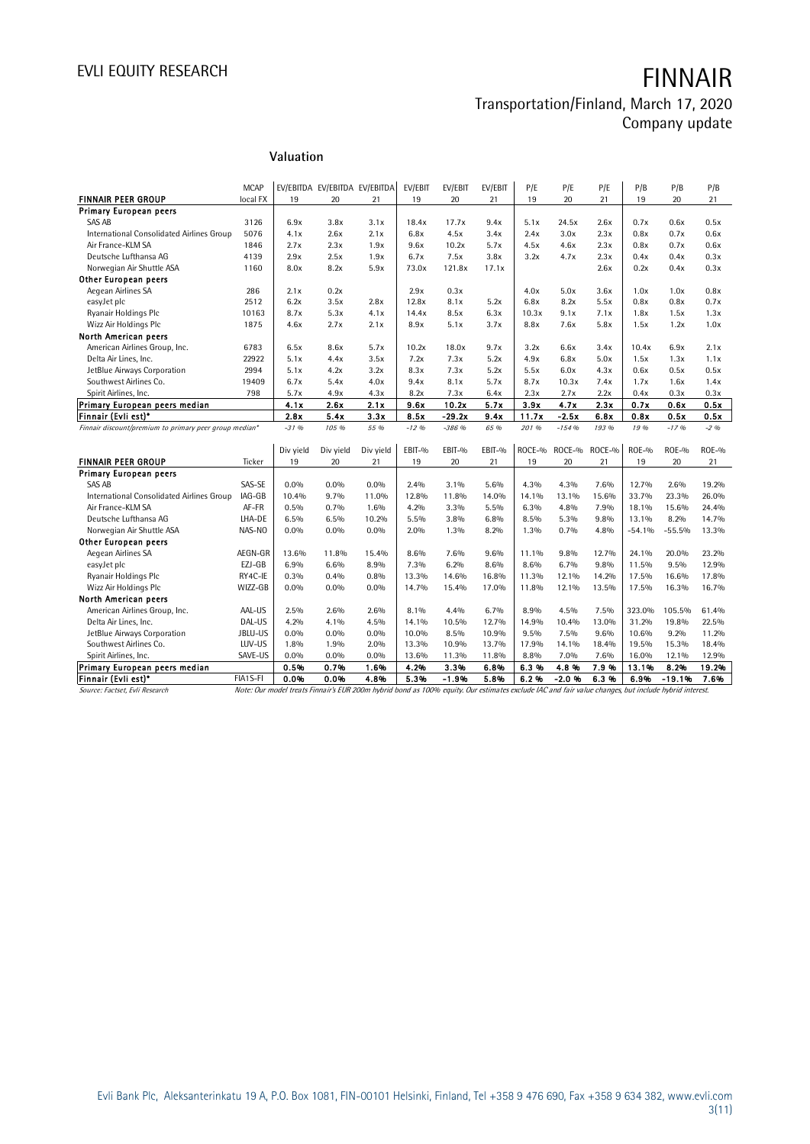### Transportation/Finland, March 17, 2020 Company update

### **Valuation**

|                                                        |             | Valuation    |                               |              |              |                 |              |              |                 |              |               |                  |               |
|--------------------------------------------------------|-------------|--------------|-------------------------------|--------------|--------------|-----------------|--------------|--------------|-----------------|--------------|---------------|------------------|---------------|
|                                                        |             |              |                               |              |              |                 |              |              |                 |              |               |                  |               |
|                                                        | <b>MCAP</b> |              | EV/EBITDA EV/EBITDA EV/EBITDA |              | EV/EBIT      | EV/EBIT         | EV/EBIT      | P/E          | P/E             | P/E          | P/B           | P/B              | P/B           |
| <b>FINNAIR PEER GROUP</b>                              | local FX    | 19           | 20                            | 21           | 19           | 20              | 21           | 19           | 20              | 21           | 19            | 20               | 21            |
| <b>Primary European peers</b>                          |             |              |                               |              |              |                 |              |              |                 |              |               |                  |               |
| SAS AB                                                 | 3126        | 6.9x         | 3.8x                          | 3.1x         | 18.4x        | 17.7x           | 9.4x         | 5.1x         | 24.5x           | 2.6x         | 0.7x          | 0.6x             | 0.5x          |
| International Consolidated Airlines Group              | 5076        | 4.1x         | 2.6x                          | 2.1x         | 6.8x         | 4.5x            | 3.4x         | 2.4x         | 3.0x            | 2.3x         | 0.8x          | 0.7x             | 0.6x          |
| Air France-KLM SA                                      | 1846        | 2.7x         | 2.3x                          | 1.9x         | 9.6x         | 10.2x           | 5.7x         | 4.5x         | 4.6x            | 2.3x         | 0.8x          | 0.7x             | 0.6x          |
| Deutsche Lufthansa AG                                  | 4139        | 2.9x         | 2.5x                          | 1.9x         | 6.7x         | 7.5x            | 3.8x         | 3.2x         | 4.7x            | 2.3x         | 0.4x          | 0.4x             | 0.3x          |
| Norwegian Air Shuttle ASA                              | 1160        | 8.0x         | 8.2x                          | 5.9x         | 73.0x        | 121.8x          | 17.1x        |              |                 | 2.6x         | 0.2x          | 0.4x             | 0.3x          |
| Other European peers                                   |             |              |                               |              |              |                 |              |              |                 |              |               |                  |               |
| Aegean Airlines SA                                     | 286         | 2.1x         | 0.2x                          |              | 2.9x         | 0.3x            |              | 4.0x         | 5.0x            | 3.6x         | 1.0x          | 1.0x             | 0.8x          |
| easyJet plc                                            | 2512        | 6.2x         | 3.5x                          | 2.8x         | 12.8x        | 8.1x            | 5.2x         | 6.8x         | 8.2x            | 5.5x         | 0.8x          | 0.8x             | 0.7x          |
| Ryanair Holdings Plc                                   | 10163       | 8.7x         | 5.3x                          | 4.1x         | 14.4x        | 8.5x            | 6.3x         | 10.3x        | 9.1x            | 7.1x         | 1.8x          | 1.5x             | 1.3x          |
| Wizz Air Holdings Plc                                  | 1875        | 4.6x         | 2.7x                          | 2.1x         | 8.9x         | 5.1x            | 3.7x         | 8.8x         | 7.6x            | 5.8x         | 1.5x          | 1.2x             | 1.0x          |
| North American peers                                   |             |              |                               |              |              |                 |              |              |                 |              |               |                  |               |
| American Airlines Group, Inc.                          | 6783        | 6.5x         | 8.6x                          | 5.7x         | 10.2x        | 18.0x           | 9.7x         | 3.2x         | 6.6x            | 3.4x         | 10.4x         | 6.9x             | 2.1x          |
| Delta Air Lines, Inc.                                  | 22922       | 5.1x         | 4.4x                          | 3.5x         | 7.2x         | 7.3x            | 5.2x         | 4.9x         | 6.8x            | 5.0x         | 1.5x          | 1.3x             | 1.1x          |
| JetBlue Airways Corporation                            | 2994        | 5.1x         | 4.2x                          | 3.2x         | 8.3x         | 7.3x            | 5.2x         | 5.5x         | 6.0x            | 4.3x         | 0.6x          | 0.5x             | 0.5x          |
| Southwest Airlines Co.                                 | 19409       | 6.7x         | 5.4x                          | 4.0x         | 9.4x         | 8.1x            | 5.7x         | 8.7x         | 10.3x           | 7.4x         | 1.7x          | 1.6x             | 1.4x          |
| Spirit Airlines, Inc.                                  | 798         | 5.7x         | 4.9x                          | 4.3x         | 8.2x         | 7.3x            | 6.4x         | 2.3x         | 2.7x            | 2.2x         | 0.4x          | 0.3x             | 0.3x          |
| Primary European peers median                          |             | 4.1x         | 2.6x                          | 2.1x         | 9.6x         | 10.2x           | 5.7x         | 3.9x         | 4.7x            | 2.3x         | 0.7x          | 0.6x             | 0.5x          |
| Finnair (Evli est)*                                    |             | 2.8x         | 5.4x                          | 3.3x         | 8.5x         | $-29.2x$        | 9.4x         | 11.7x        | $-2.5x$         | 6.8x         | 0.8x          | 0.5x             | 0.5x          |
| Finnair discount/premium to primary peer group median* |             | $-3196$      | 105 %                         | 55 %         | $-12.96$     | $-386$ %        | 65 %         | 201 %        | $-154%$         | 193 %        | 19 %          | $-1796$          | $-296$        |
|                                                        |             |              |                               |              |              |                 |              |              |                 |              |               |                  |               |
|                                                        |             | Div yield    | Div yield                     | Div yield    | EBIT-%       | EBIT-%          | EBIT-%       | ROCE-%       | ROCE-%          | ROCE-%       | $ROE-9$       | $ROE-9$          | $ROE-0$       |
| <b>FINNAIR PEER GROUP</b>                              | Ticker      | 19           | 20                            | 21           | 19           | 20              | 21           | 19           | 20              | 21           | 19            | 20               | 21            |
| <b>Primary European peers</b>                          |             |              |                               |              |              |                 |              |              |                 |              |               |                  |               |
| SAS AB                                                 | SAS-SE      | 0.0%         | 0.0%                          | 0.0%         | 2.4%         | 3.1%            | 5.6%         | 4.3%         | 4.3%            | 7.6%         | 12.7%         | 2.6%             | 19.2%         |
| International Consolidated Airlines Group              | IAG-GB      | 10.4%        | 9.7%                          | 11.0%        | 12.8%        | 11.8%           | 14.0%        | 14.1%        | 13.1%           | 15.6%        | 33.7%         | 23.3%            | 26.0%         |
| Air France-KLM SA                                      | AF-FR       | 0.5%         | 0.7%                          | 1.6%         | 4.2%         | 3.3%            | 5.5%         | 6.3%         | 4.8%            | 7.9%         | 18.1%         | 15.6%            | 24.4%         |
| Deutsche Lufthansa AG                                  | LHA-DE      | 6.5%         | 6.5%                          | 10.2%        | 5.5%         | 3.8%            | 6.8%         | 8.5%         | 5.3%            | 9.8%         | 13.1%         | 8.2%             | 14.7%         |
| Norwegian Air Shuttle ASA                              | NAS-NO      | 0.0%         | $0.0\%$                       | 0.0%         | 2.0%         | 1.3%            | 8.2%         | 1.3%         | 0.7%            | 4.8%         | $-54.1%$      | $-55.5%$         | 13.3%         |
| Other European peers                                   |             |              |                               |              |              |                 |              |              |                 |              |               |                  |               |
| Aegean Airlines SA                                     | AEGN-GR     | 13.6%        | 11.8%                         | 15.4%        | 8.6%         | 7.6%            | 9.6%         | 11.1%        | 9.8%            | 12.7%        | 24.1%         | 20.0%            | 23.2%         |
| easyJet plc                                            | EZJ-GB      | 6.9%         | 6.6%                          | 8.9%         | 7.3%         | 6.2%            | 8.6%         | 8.6%         | 6.7%            | 9.8%         | 11.5%         | 9.5%             | 12.9%         |
| Ryanair Holdings Plc                                   | RY4C-IE     | 0.3%         | 0.4%                          | 0.8%         | 13.3%        | 14.6%           | 16.8%        | 11.3%        | 12.1%           | 14.2%        | 17.5%         | 16.6%            | 17.8%         |
| Wizz Air Holdings Plc                                  | WIZZ-GB     | $0.0\%$      | $0.0\%$                       | $0.0\%$      | 14.7%        | 15.4%           | 17.0%        | 11.8%        | 12.1%           | 13.5%        | 17.5%         | 16.3%            | 16.7%         |
| North American peers                                   |             |              |                               |              |              |                 |              |              |                 |              |               |                  |               |
| American Airlines Group, Inc.                          | AAL-US      | 2.5%         | 2.6%                          | 2.6%         | $8.1\%$      | 4.4%            | 6.7%         | 8.9%         | 4.5%            | 7.5%         | 323.0%        | 105.5%           | 61.4%         |
| Delta Air Lines, Inc.                                  | DAL-US      | 4.2%         | 4.1%                          | 4.5%         | 14.1%        | 10.5%           | 12.7%        | 14.9%        | 10.4%           | 13.0%        | 31.2%         | 19.8%            | 22.5%         |
| JetBlue Airways Corporation                            | JBLU-US     | $0.0\%$      | $0.0\%$                       | $0.0\%$      | 10.0%        | 8.5%            | 10.9%        | 9.5%         | 7.5%            | 9.6%         | 10.6%         | 9.2%             | 11.2%         |
| Southwest Airlines Co.                                 | LUV-US      | 1.8%         | 1.9%                          | 2.0%         | 13.3%        | 10.9%           | 13.7%        | 17.9%        | 14.1%           | 18.4%        | 19.5%         | 15.3%            | 18.4%         |
| Spirit Airlines, Inc.                                  | SAVE-US     | 0.0%         | $0.0\%$                       | $0.0\%$      | 13.6%        | 11.3%           | 11.8%        | 8.8%         | 7.0%            | 7.6%         | 16.0%         | 12.1%            | 12.9%         |
|                                                        |             |              |                               |              |              |                 |              |              |                 |              |               |                  |               |
| Primary European peers median<br>Finnair (Evli est)*   | FIA1S-FI    | 0.5%<br>0.0% | 0.7%<br>0.0%                  | 1.6%<br>4.8% | 4.2%<br>5.3% | 3.3%<br>$-1.9%$ | 6.8%<br>5.8% | 6.3%<br>6.2% | 4.8%<br>$-2.0%$ | 7.9%<br>6.3% | 13.1%<br>6.9% | 8.2%<br>$-19.1%$ | 19.2%<br>7.6% |

Source: Factset, Evli Research Note: Our model treats Finnair's EUR 200m hybrid bond as 100% equity. Our estimates exclude IAC and fair value changes, but include hybrid interest.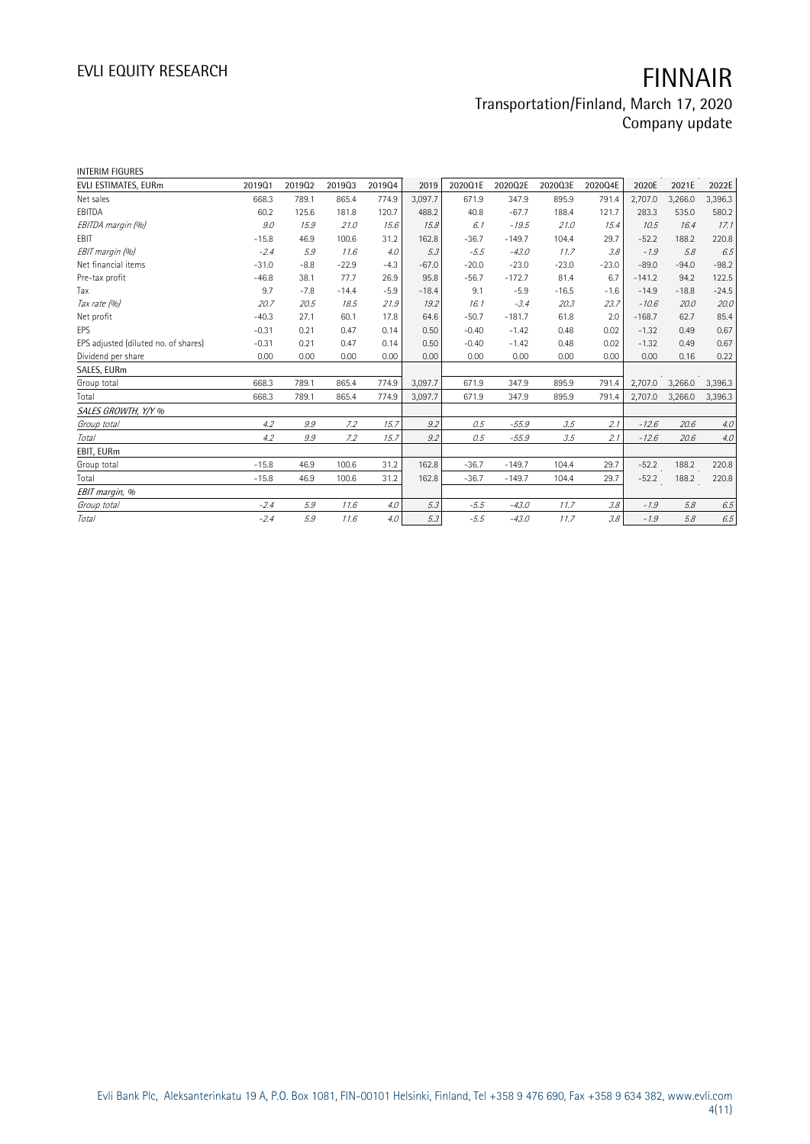### Transportation/Finland, March 17, 2020 Company update

| <b>INTERIM FIGURES</b>               |         |        |         |        |         |         |          |         |         |          |         |         |
|--------------------------------------|---------|--------|---------|--------|---------|---------|----------|---------|---------|----------|---------|---------|
| EVLI ESTIMATES, EURm                 | 201901  | 201902 | 201903  | 201904 | 2019    | 2020Q1E | 2020Q2E  | 2020Q3E | 2020Q4E | 2020E    | 2021E   | 2022E   |
| Net sales                            | 668.3   | 789.1  | 865.4   | 774.9  | 3.097.7 | 671.9   | 347.9    | 895.9   | 791.4   | 2,707.0  | 3,266.0 | 3,396.3 |
| EBITDA                               | 60.2    | 125.6  | 181.8   | 120.7  | 488.2   | 40.8    | $-67.7$  | 188.4   | 121.7   | 283.3    | 535.0   | 580.2   |
| EBITDA margin (%)                    | 9.0     | 15.9   | 21.0    | 15.6   | 15.8    | 6.1     | $-19.5$  | 21.0    | 15.4    | 10.5     | 16.4    | 17.1    |
| EBIT                                 | $-15.8$ | 46.9   | 100.6   | 31.2   | 162.8   | $-36.7$ | $-149.7$ | 104.4   | 29.7    | $-52.2$  | 188.2   | 220.8   |
| EBIT margin (%)                      | $-2.4$  | 5.9    | 11.6    | 4.0    | 5.3     | $-5.5$  | $-43.0$  | 11.7    | 3.8     | $-1.9$   | 5.8     | 6.5     |
| Net financial items                  | $-31.0$ | $-8.8$ | $-22.9$ | $-4.3$ | $-67.0$ | $-20.0$ | $-23.0$  | $-23.0$ | $-23.0$ | $-89.0$  | $-94.0$ | $-98.2$ |
| Pre-tax profit                       | $-46.8$ | 38.1   | 77.7    | 26.9   | 95.8    | $-56.7$ | $-172.7$ | 81.4    | 6.7     | $-141.2$ | 94.2    | 122.5   |
| Tax                                  | 9.7     | $-7.8$ | $-14.4$ | $-5.9$ | $-18.4$ | 9.1     | $-5.9$   | $-16.5$ | $-1.6$  | $-14.9$  | $-18.8$ | $-24.5$ |
| Tax rate (%)                         | 20.7    | 20.5   | 18.5    | 21.9   | 19.2    | 16.1    | $-3.4$   | 20.3    | 23.7    | $-10.6$  | 20.0    | 20.0    |
| Net profit                           | $-40.3$ | 27.1   | 60.1    | 17.8   | 64.6    | $-50.7$ | $-181.7$ | 61.8    | 2.0     | $-168.7$ | 62.7    | 85.4    |
| EPS                                  | $-0.31$ | 0.21   | 0.47    | 0.14   | 0.50    | $-0.40$ | $-1.42$  | 0.48    | 0.02    | $-1.32$  | 0.49    | 0.67    |
| EPS adjusted (diluted no. of shares) | $-0.31$ | 0.21   | 0.47    | 0.14   | 0.50    | $-0.40$ | $-1.42$  | 0.48    | 0.02    | $-1.32$  | 0.49    | 0.67    |
| Dividend per share                   | 0.00    | 0.00   | 0.00    | 0.00   | 0.00    | 0.00    | 0.00     | 0.00    | 0.00    | 0.00     | 0.16    | 0.22    |
| SALES, EURm                          |         |        |         |        |         |         |          |         |         |          |         |         |
| Group total                          | 668.3   | 789.1  | 865.4   | 774.9  | 3,097.7 | 671.9   | 347.9    | 895.9   | 791.4   | 2,707.0  | 3,266.0 | 3,396.3 |
| Total                                | 668.3   | 789.1  | 865.4   | 774.9  | 3,097.7 | 671.9   | 347.9    | 895.9   | 791.4   | 2,707.0  | 3,266.0 | 3,396.3 |
| SALES GROWTH, Y/Y %                  |         |        |         |        |         |         |          |         |         |          |         |         |
| Group total                          | 4.2     | 9.9    | 7.2     | 15.7   | 9.2     | 0.5     | $-55.9$  | 3.5     | 2.1     | $-12.6$  | 20.6    | 4.0     |
| Total                                | 4.2     | 9.9    | 7.2     | 15.7   | 9.2     | 0.5     | $-55.9$  | 3.5     | 2.1     | $-12.6$  | 20.6    | $4.0$   |
| EBIT, EURm                           |         |        |         |        |         |         |          |         |         |          |         |         |
| Group total                          | $-15.8$ | 46.9   | 100.6   | 31.2   | 162.8   | $-36.7$ | $-149.7$ | 104.4   | 29.7    | $-52.2$  | 188.2   | 220.8   |
| Total                                | $-15.8$ | 46.9   | 100.6   | 31.2   | 162.8   | $-36.7$ | $-149.7$ | 104.4   | 29.7    | $-52.2$  | 188.2   | 220.8   |
| EBIT margin, %                       |         |        |         |        |         |         |          |         |         |          |         |         |
| Group total                          | $-2.4$  | 5.9    | 11.6    | 4.0    | 5.3     | $-5.5$  | $-43.0$  | 11.7    | 3.8     | $-1.9$   | 5.8     | 6.5     |
| Total                                | $-2.4$  | 5.9    | 11.6    | 4.0    | 5.3     | $-5.5$  | $-43.0$  | 11.7    | 3.8     | $-1.9$   | 5.8     | 6.5     |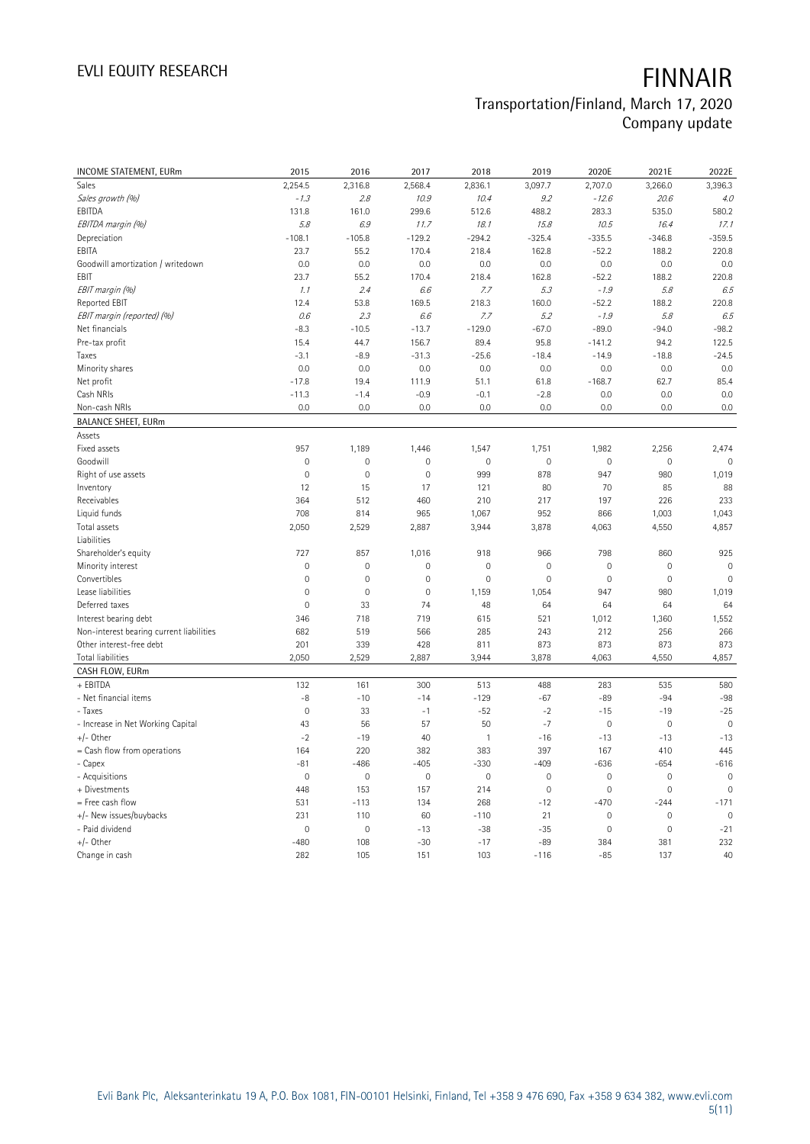# Transportation/Finland, March 17, 2020 Company update

| INCOME STATEMENT, EURm                   | 2015                | 2016        | 2017                | 2018                | 2019           | 2020E               | 2021E               | 2022E               |
|------------------------------------------|---------------------|-------------|---------------------|---------------------|----------------|---------------------|---------------------|---------------------|
| Sales                                    | 2,254.5             | 2,316.8     | 2,568.4             | 2,836.1             | 3,097.7        | 2,707.0             | 3,266.0             | 3,396.3             |
| Sales growth (%)                         | $-1.3$              | 2.8         | 10.9                | 10.4                | 9.2            | $-12.6$             | 20.6                | 4.0                 |
| EBITDA                                   | 131.8               | 161.0       | 299.6               | 512.6               | 488.2          | 283.3               | 535.0               | 580.2               |
|                                          | 5.8                 | 6.9         | 11.7                | 18.1                | 15.8           | 10.5                | 16.4                | 17.1                |
| EBITDA margin (%)                        |                     |             |                     |                     |                |                     |                     |                     |
| Depreciation                             | $-108.1$            | $-105.8$    | $-129.2$            | $-294.2$            | $-325.4$       | $-335.5$            | $-346.8$            | $-359.5$            |
| EBITA                                    | 23.7                | 55.2        | 170.4               | 218.4               | 162.8          | $-52.2$             | 188.2               | 220.8               |
| Goodwill amortization / writedown        | 0.0                 | 0.0         | 0.0                 | 0.0                 | 0.0            | 0.0                 | 0.0                 | 0.0                 |
| EBIT                                     | 23.7                | 55.2        | 170.4               | 218.4               | 162.8          | $-52.2$             | 188.2               | 220.8               |
| EBIT margin (%)                          | 1.1                 | 2.4         | 6.6                 | 7.7                 | 5.3            | $-1.9$              | 5.8                 | 6.5                 |
| Reported EBIT                            | 12.4                | 53.8        | 169.5               | 218.3               | 160.0          | $-52.2$             | 188.2               | 220.8               |
| EBIT margin (reported) (%)               | 0.6                 | 2.3         | 6.6                 | 7.7                 | 5.2            | $-1.9$              | 5.8                 | 6.5                 |
| Net financials                           | $-8.3$              | $-10.5$     | $-13.7$             | $-129.0$            | $-67.0$        | $-89.0$             | $-94.0$             | $-98.2$             |
| Pre-tax profit                           | 15.4                | 44.7        | 156.7               | 89.4                | 95.8           | $-141.2$            | 94.2                | 122.5               |
| Taxes                                    | $-3.1$              | $-8.9$      | $-31.3$             | $-25.6$             | $-18.4$        | $-14.9$             | $-18.8$             | $-24.5$             |
| Minority shares                          | 0.0                 | 0.0         | 0.0                 | 0.0                 | 0.0            | 0.0                 | 0.0                 | 0.0                 |
| Net profit                               | $-17.8$             | 19.4        | 111.9               | 51.1                | 61.8           | $-168.7$            | 62.7                | 85.4                |
| Cash NRIs                                | $-11.3$             | $-1.4$      | $-0.9$              | $-0.1$              | $-2.8$         | 0.0                 | 0.0                 | 0.0                 |
| Non-cash NRIs                            | 0.0                 | 0.0         | 0.0                 | 0.0                 | 0.0            | 0.0                 | 0.0                 | 0.0                 |
| <b>BALANCE SHEET, EURm</b>               |                     |             |                     |                     |                |                     |                     |                     |
| Assets                                   |                     |             |                     |                     |                |                     |                     |                     |
| Fixed assets                             | 957                 | 1,189       | 1,446               | 1,547               | 1,751          | 1,982               | 2,256               | 2,474               |
| Goodwill                                 | $\mathbf 0$         | $\mathbf 0$ | $\mathbf 0$         | $\mathsf{O}\xspace$ | $\mathbf 0$    | 0                   | $\mathbf 0$         | $\mathbf 0$         |
| Right of use assets                      | $\mathbf 0$         | $\mathbf 0$ | 0                   | 999                 | 878            | 947                 | 980                 | 1,019               |
| Inventory                                | 12                  | 15          | 17                  | 121                 | 80             | 70                  | 85                  | 88                  |
| Receivables                              | 364                 | 512         | 460                 | 210                 | 217            | 197                 | 226                 | 233                 |
| Liquid funds                             | 708                 | 814         | 965                 | 1,067               | 952            | 866                 | 1,003               | 1,043               |
| Total assets                             | 2,050               | 2,529       | 2,887               | 3,944               | 3,878          | 4,063               | 4,550               | 4,857               |
| Liabilities                              |                     |             |                     |                     |                |                     |                     |                     |
| Shareholder's equity                     | 727                 | 857         | 1,016               | 918                 | 966            | 798                 | 860                 | 925                 |
| Minority interest                        | $\overline{0}$      | $\mathbf 0$ | $\mathbf 0$         | $\mathsf{O}\xspace$ | $\overline{0}$ | 0                   | $\mathbf 0$         | $\mathbf 0$         |
| Convertibles                             | $\mathsf{O}\xspace$ | 0           | 0                   | $\mathbb O$         | $\mathbf 0$    | $\mathsf{O}\xspace$ | $\mathsf{O}\xspace$ | $\mathbb O$         |
| Lease liabilities                        | $\mathbf 0$         | $\mathbf 0$ | 0                   | 1,159               | 1,054          | 947                 | 980                 | 1,019               |
| Deferred taxes                           | $\overline{0}$      | 33          | 74                  | 48                  | 64             | 64                  | 64                  | 64                  |
| Interest bearing debt                    | 346                 | 718         | 719                 | 615                 | 521            | 1,012               | 1,360               | 1,552               |
| Non-interest bearing current liabilities | 682                 | 519         | 566                 | 285                 | 243            | 212                 | 256                 | 266                 |
| Other interest-free debt                 | 201                 | 339         | 428                 | 811                 | 873            | 873                 | 873                 | 873                 |
| Total liabilities                        | 2,050               | 2,529       | 2,887               | 3,944               | 3,878          | 4,063               | 4,550               | 4,857               |
| CASH FLOW, EURm                          |                     |             |                     |                     |                |                     |                     |                     |
| + EBITDA                                 | 132                 | 161         | 300                 | 513                 | 488            | 283                 | 535                 | 580                 |
| - Net financial items                    | -8                  | $-10$       | $-14$               | $-129$              | $-67$          | $-89$               | $-94$               | $-98$               |
| - Taxes                                  | $\mathbf 0$         | 33          | $-1$                | $-52$               | $-2$           | $-15$               | $-19$               | $-25$               |
| - Increase in Net Working Capital        | 43                  | 56          | 57                  | 50                  | $-7$           | 0                   | $\mathbf 0$         | $\mathbf 0$         |
| $+/-$ Other                              | $-2$                | $-19$       | 40                  | $\mathbf{1}$        | $-16$          | $-13$               | $-13$               | $-13$               |
| = Cash flow from operations              | 164                 | 220         | 382                 | 383                 | 397            | 167                 | 410                 | 445                 |
| - Capex                                  | $-81$               | $-486$      | $-405$              | $-330$              | $-409$         | $-636$              | $-654$              | $-616$              |
| - Acquisitions                           | $\mathsf{O}\xspace$ | $\mathbf 0$ | $\mathsf{O}\xspace$ | $\mathsf{O}\xspace$ | $\mathbf 0$    | $\mathsf{O}\xspace$ | $\mathbf 0$         | $\mathsf{O}\xspace$ |
| + Divestments                            | 448                 | 153         | 157                 | 214                 | $\mathbf 0$    | 0                   | $\mathbf 0$         | $\mathbf 0$         |
| = Free cash flow                         | 531                 | $-113$      | 134                 | 268                 | $-12$          | $-470$              | $-244$              | $-171$              |
| +/- New issues/buybacks                  | 231                 | 110         | 60                  | $-110$              | 21             | $\mathsf{O}\xspace$ | $\mathbf 0$         | $\mathbf{0}$        |
| - Paid dividend                          | $\mathbf 0$         | 0           | $-13$               | $-38$               | $-35$          | 0                   | $\mathbf 0$         | $-21$               |
| $+/-$ Other                              | $-480$              | 108         | $-30$               | $-17$               | $-89$          | 384                 | 381                 | 232                 |
| Change in cash                           | 282                 | 105         | 151                 | 103                 | $-116$         | $-85$               | 137                 | 40                  |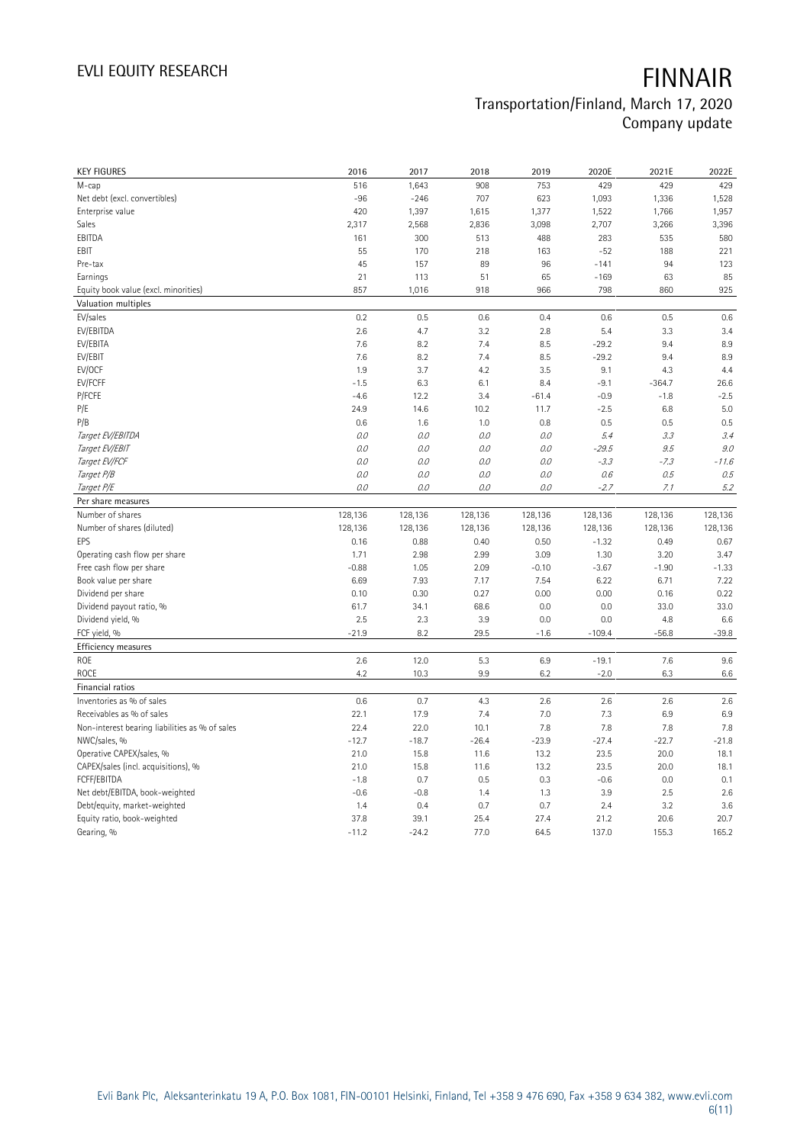| <b>KEY FIGURES</b>                             | 2016            | 2017            | 2018         | 2019         | 2020E         | 2021E           | 2022E         |
|------------------------------------------------|-----------------|-----------------|--------------|--------------|---------------|-----------------|---------------|
| M-cap                                          | 516             | 1,643           | 908          | 753          | 429           | 429             | 429           |
| Net debt (excl. convertibles)                  | $-96$           | $-246$          | 707          | 623          | 1,093         | 1,336           | 1,528         |
| Enterprise value                               | 420             | 1,397           | 1,615        | 1,377        | 1,522         | 1,766           | 1,957         |
| Sales                                          | 2,317           | 2,568           | 2,836        | 3,098        | 2,707         | 3,266           | 3,396         |
| EBITDA                                         | 161             | 300             | 513          | 488          | 283           | 535             | 580           |
| EBIT                                           | 55              | 170             | 218          | 163          | $-52$         | 188             | 221           |
| Pre-tax                                        | 45              | 157             | 89           | 96           | $-141$        | 94              | 123           |
| Earnings                                       | 21              | 113             | 51           | 65           | $-169$        | 63              | 85            |
| Equity book value (excl. minorities)           | 857             | 1,016           | 918          | 966          | 798           | 860             | 925           |
| Valuation multiples                            |                 |                 |              |              |               |                 |               |
| EV/sales                                       | 0.2             | 0.5             | 0.6          | 0.4          | 0.6           | 0.5             | 0.6           |
| EV/EBITDA                                      | 2.6             | 4.7             | 3.2          | 2.8          | 5.4           | 3.3             | 3.4           |
| EV/EBITA                                       | 7.6             | 8.2             | 7.4          | 8.5          | $-29.2$       | 9.4             | 8.9           |
| EV/EBIT                                        | 7.6             | 8.2             | 7.4          | 8.5          | $-29.2$       | 9.4             | 8.9           |
| EV/OCF                                         | 1.9             | 3.7             | 4.2          | 3.5          | 9.1           | 4.3             | 4.4           |
| EV/FCFF                                        | $-1.5$          | 6.3             | 6.1          | 8.4          | $-9.1$        | $-364.7$        | 26.6          |
| P/FCFE                                         | $-4.6$          | 12.2            | 3.4          | $-61.4$      | $-0.9$        | $-1.8$          | $-2.5$        |
| P/E                                            | 24.9            | 14.6            | 10.2         | 11.7         | $-2.5$        | 6.8             | 5.0           |
| P/B                                            | 0.6             | 1.6             | 1.0          | 0.8          | 0.5           | 0.5             | 0.5           |
| Target EV/EBITDA                               | 0.0             | 0.0             | 0.0          | O.O          | 5.4           | 3.3             | 3.4           |
| Target EV/EBIT                                 | 0.0             | 0.0             | 0.0          | 0.0          | $-29.5$       | 9.5             | 9.0           |
| Target EV/FCF                                  | 0.0             | 0.0             | $0.0$        | $O.O$        | $-3.3$        | $-7.3$          | $-11.6$       |
| Target P/B                                     | 0.0             | 0.0             | $0.0$        | 0.0          | 0.6           | 0.5             | 0.5           |
| Target P/E                                     | 0.0             | O.O             | $O.O$        | $O.O$        | $-2.7$        | 7.1             | 5.2           |
| Per share measures                             |                 |                 |              |              |               |                 |               |
|                                                |                 |                 |              |              |               |                 |               |
|                                                |                 |                 |              |              |               |                 |               |
| Number of shares                               | 128,136         | 128,136         | 128,136      | 128,136      | 128,136       | 128,136         | 128,136       |
| Number of shares (diluted)<br>EPS              | 128,136         | 128,136         | 128,136      | 128,136      | 128,136       | 128,136         | 128,136       |
|                                                | 0.16            | 0.88            | 0.40         | 0.50         | $-1.32$       | 0.49            | 0.67          |
| Operating cash flow per share                  | 1.71<br>$-0.88$ | 2.98            | 2.99         | 3.09         | 1.30          | 3.20<br>$-1.90$ | 3.47          |
| Free cash flow per share                       |                 | 1.05            | 2.09         | $-0.10$      | $-3.67$       |                 | $-1.33$       |
| Book value per share                           | 6.69            | 7.93            | 7.17         | 7.54         | 6.22          | 6.71            | 7.22          |
| Dividend per share                             | 0.10            | 0.30            | 0.27         | 0.00         | 0.00          | 0.16            | 0.22          |
| Dividend payout ratio, %                       | 61.7<br>2.5     | 34.1            | 68.6<br>3.9  | 0.0<br>0.0   | 0.0<br>0.0    | 33.0            | 33.0          |
| Dividend yield, %                              |                 | 2.3             |              |              |               | 4.8             | 6.6           |
| FCF yield, %                                   | $-21.9$         | 8.2             | 29.5         | $-1.6$       | $-109.4$      | $-56.8$         | $-39.8$       |
| Efficiency measures                            |                 |                 |              |              |               |                 |               |
| ROE                                            | 2.6             | 12.0            | 5.3          | 6.9          | $-19.1$       | 7.6             | 9.6           |
| <b>ROCE</b>                                    | 4.2             | 10.3            | 9.9          | 6.2          | $-2.0$        | 6.3             | 6.6           |
| Financial ratios                               |                 |                 |              |              |               |                 |               |
| Inventories as % of sales                      | 0.6             | 0.7             | 4.3          | 2.6          | 2.6           | 2.6             | 2.6           |
| Receivables as % of sales                      | 22.1            | 17.9            | 7.4          | 7.0          | 7.3           | 6.9             | 6.9           |
| Non-interest bearing liabilities as % of sales | 22.4            | 22.0            | 10.1         | 7.8          | 7.8           | 7.8             | 7.8           |
| NWC/sales, %                                   | $-12.7$         | $-18.7$         | $-26.4$      | $-23.9$      | $-27.4$       | $-22.7$         | $-21.8$       |
| Operative CAPEX/sales, %                       | 21.0            | 15.8            | 11.6         | 13.2         | 23.5          | 20.0            | 18.1          |
| CAPEX/sales (incl. acquisitions), %            | 21.0            | 15.8            | 11.6         | 13.2         | 23.5          | 20.0            | 18.1          |
| FCFF/EBITDA                                    | $-1.8$          | 0.7             | 0.5          | 0.3          | $-0.6$        | 0.0             | 0.1           |
| Net debt/EBITDA, book-weighted                 | $-0.6$          | $-0.8$          | 1.4          | 1.3          | 3.9           | 2.5             | 2.6           |
| Debt/equity, market-weighted                   | 1.4             | 0.4             | 0.7          | 0.7          | 2.4           | 3.2             | 3.6           |
| Equity ratio, book-weighted<br>Gearing, %      | 37.8<br>$-11.2$ | 39.1<br>$-24.2$ | 25.4<br>77.0 | 27.4<br>64.5 | 21.2<br>137.0 | 20.6<br>155.3   | 20.7<br>165.2 |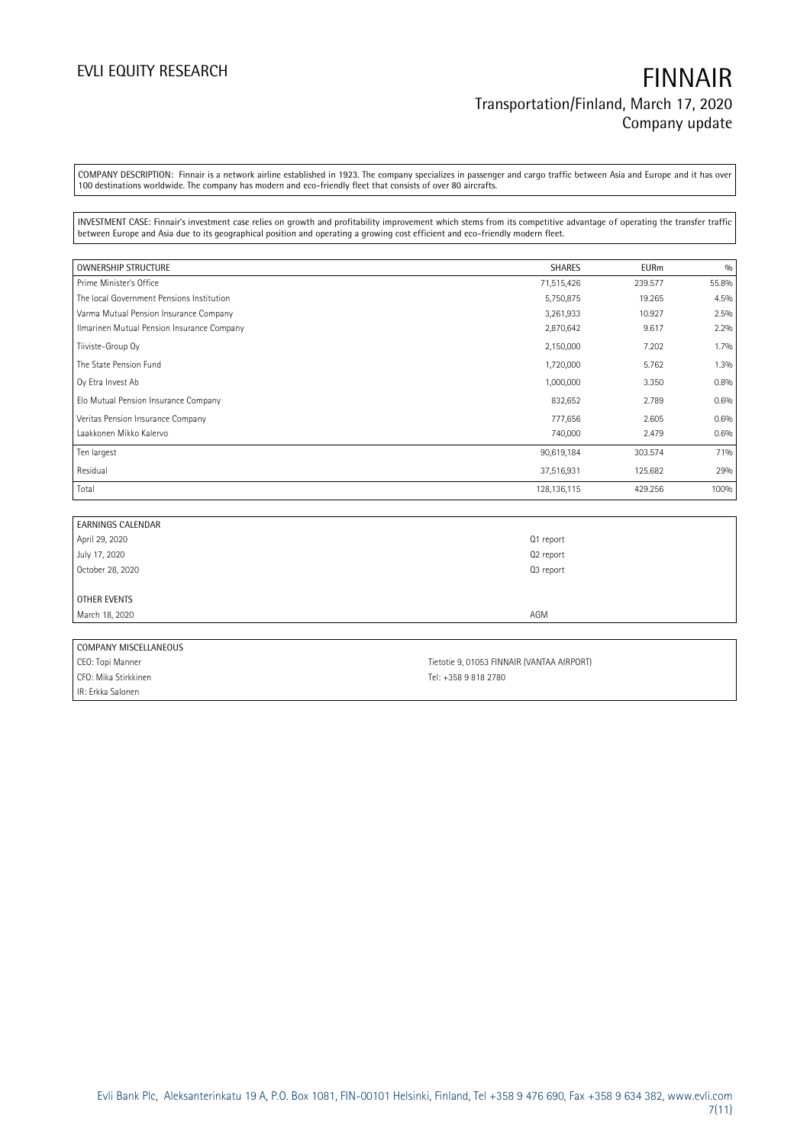COMPANY DESCRIPTION: Finnair is a network airline established in 1923. The company specializes in passenger and cargo traffic between Asia and Europe and it has over 100 destinations worldwide. The company has modern and eco-friendly fleet that consists of over 80 aircrafts.

INVESTMENT CASE: Finnair's investment case relies on growth and profitability improvement which stems from its competitive advantage of operating the transfer traffic between Europe and Asia due to its geographical position and operating a growing cost efficient and eco-friendly modern fleet.

| OWNERSHIP STRUCTURE                        | <b>SHARES</b> | <b>EURm</b> | 0/0   |
|--------------------------------------------|---------------|-------------|-------|
| Prime Minister's Office                    | 71,515,426    | 239.577     | 55.8% |
| The local Government Pensions Institution  | 5,750,875     | 19.265      | 4.5%  |
| Varma Mutual Pension Insurance Company     | 3,261,933     | 10.927      | 2.5%  |
| Ilmarinen Mutual Pension Insurance Company | 2,870,642     | 9.617       | 2.2%  |
| Tiiviste-Group Oy                          | 2,150,000     | 7.202       | 1.7%  |
| The State Pension Fund                     | 1,720,000     | 5.762       | 1.3%  |
| Oy Etra Invest Ab                          | 1,000,000     | 3.350       | 0.8%  |
| Elo Mutual Pension Insurance Company       | 832,652       | 2.789       | 0.6%  |
| Veritas Pension Insurance Company          | 777,656       | 2.605       | 0.6%  |
| Laakkonen Mikko Kalervo                    | 740,000       | 2.479       | 0.6%  |
| Ten largest                                | 90,619,184    | 303.574     | 71%   |
| Residual                                   | 37,516,931    | 125.682     | 29%   |
| Total                                      | 128, 136, 115 | 429.256     | 100%  |

| <b>EARNINGS CALENDAR</b> |           |  |
|--------------------------|-----------|--|
| April 29, 2020           | Q1 report |  |
| July 17, 2020            | Q2 report |  |
| October 28, 2020         | Q3 report |  |
|                          |           |  |
| OTHER EVENTS             |           |  |
| March 18, 2020           | AGM       |  |
|                          |           |  |
| COMPANY MISCELLANEOUS    |           |  |

| CUMFANT MIJLELLANEUUJ |                                            |
|-----------------------|--------------------------------------------|
| CEO: Topi Manner      | Tietotie 9. 01053 FINNAIR (VANTAA AIRPORT) |
| CFO: Mika Stirkkinen- | Tel: +358 9 818 2780                       |
| IR: Erkka Salonen     |                                            |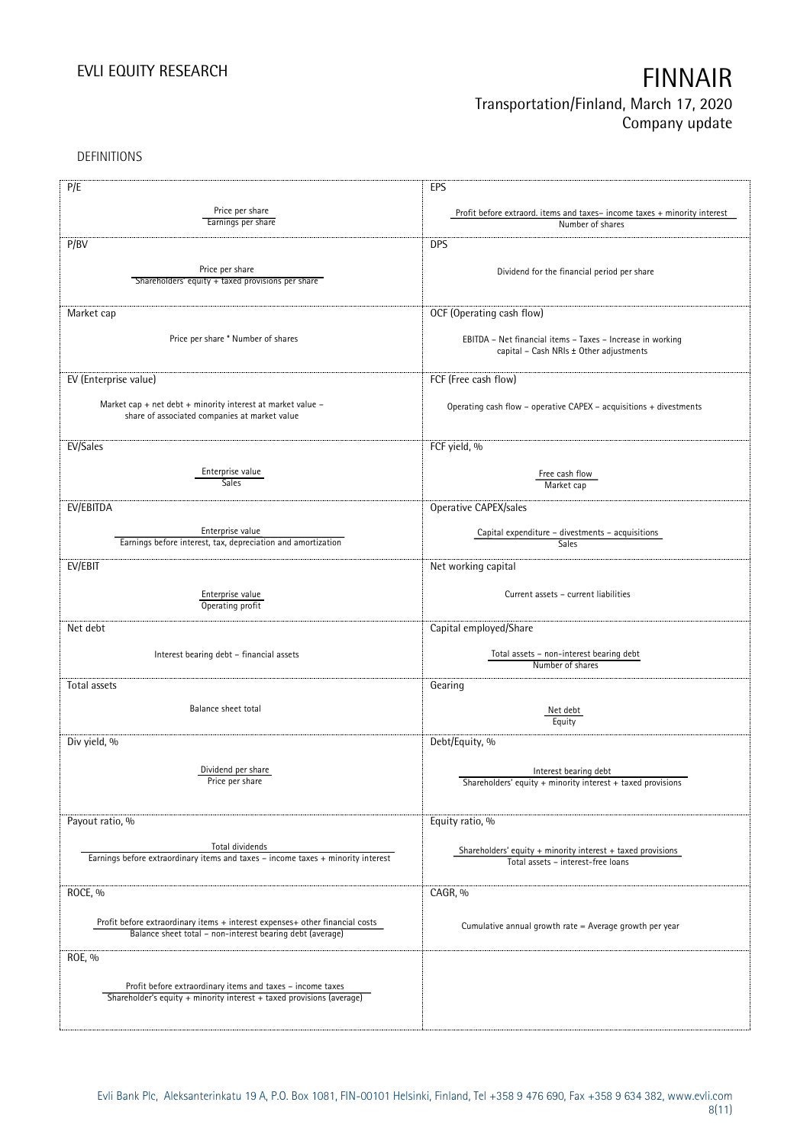DEFINITIONS

| P/E                                                                                                          | EPS                                                                      |
|--------------------------------------------------------------------------------------------------------------|--------------------------------------------------------------------------|
|                                                                                                              |                                                                          |
| Price per share<br>Earnings per share                                                                        | Profit before extraord. items and taxes-income taxes + minority interest |
|                                                                                                              | Number of shares                                                         |
| P/BV                                                                                                         | <b>DPS</b>                                                               |
|                                                                                                              |                                                                          |
| Price per share                                                                                              | Dividend for the financial period per share                              |
| Shareholders' equity + taxed provisions per share                                                            |                                                                          |
|                                                                                                              |                                                                          |
| Market cap                                                                                                   | OCF (Operating cash flow)                                                |
|                                                                                                              |                                                                          |
| Price per share * Number of shares                                                                           | EBITDA - Net financial items - Taxes - Increase in working               |
|                                                                                                              | capital - Cash NRIs ± Other adjustments                                  |
|                                                                                                              |                                                                          |
| EV (Enterprise value)                                                                                        | FCF (Free cash flow)                                                     |
|                                                                                                              |                                                                          |
| Market cap + net debt + minority interest at market value -<br>share of associated companies at market value | Operating cash flow - operative CAPEX - acquisitions + divestments       |
|                                                                                                              |                                                                          |
|                                                                                                              |                                                                          |
| EV/Sales                                                                                                     | FCF yield, %                                                             |
| Enterprise value                                                                                             |                                                                          |
| <b>Sales</b>                                                                                                 | Free cash flow<br>Market cap                                             |
|                                                                                                              |                                                                          |
| EV/EBITDA                                                                                                    | Operative CAPEX/sales                                                    |
|                                                                                                              |                                                                          |
| Enterprise value                                                                                             | Capital expenditure - divestments - acquisitions                         |
| Earnings before interest, tax, depreciation and amortization                                                 | Sales                                                                    |
| EV/EBIT                                                                                                      | Net working capital                                                      |
|                                                                                                              |                                                                          |
| Enterprise value                                                                                             | Current assets - current liabilities                                     |
| Operating profit                                                                                             |                                                                          |
|                                                                                                              |                                                                          |
| Net debt                                                                                                     | Capital employed/Share                                                   |
|                                                                                                              | Total assets - non-interest bearing debt                                 |
| Interest bearing debt - financial assets                                                                     | Number of shares                                                         |
|                                                                                                              |                                                                          |
| Total assets                                                                                                 | Gearing                                                                  |
| Balance sheet total                                                                                          |                                                                          |
|                                                                                                              | Net debt<br>Equity                                                       |
|                                                                                                              |                                                                          |
| Div yield, %                                                                                                 | Debt/Equity, %                                                           |
|                                                                                                              |                                                                          |
| Dividend per share                                                                                           | Interest bearing debt                                                    |
| Price per share                                                                                              | Shareholders' equity $+$ minority interest $+$ taxed provisions          |
|                                                                                                              |                                                                          |
| Payout ratio, %                                                                                              | Equity ratio, %                                                          |
|                                                                                                              |                                                                          |
| Total dividends                                                                                              | Shareholders' equity $+$ minority interest $+$ taxed provisions          |
| Earnings before extraordinary items and taxes - income taxes + minority interest                             | Total assets - interest-free loans                                       |
|                                                                                                              |                                                                          |
| ROCE, %                                                                                                      | CAGR, %                                                                  |
|                                                                                                              |                                                                          |
| Profit before extraordinary items + interest expenses+ other financial costs                                 |                                                                          |
| Balance sheet total - non-interest bearing debt (average)                                                    | Cumulative annual growth rate = Average growth per year                  |
|                                                                                                              |                                                                          |
| ROE, %                                                                                                       |                                                                          |
|                                                                                                              |                                                                          |
| Profit before extraordinary items and taxes - income taxes                                                   |                                                                          |
| Shareholder's equity + minority interest + taxed provisions (average)                                        |                                                                          |
|                                                                                                              |                                                                          |
|                                                                                                              |                                                                          |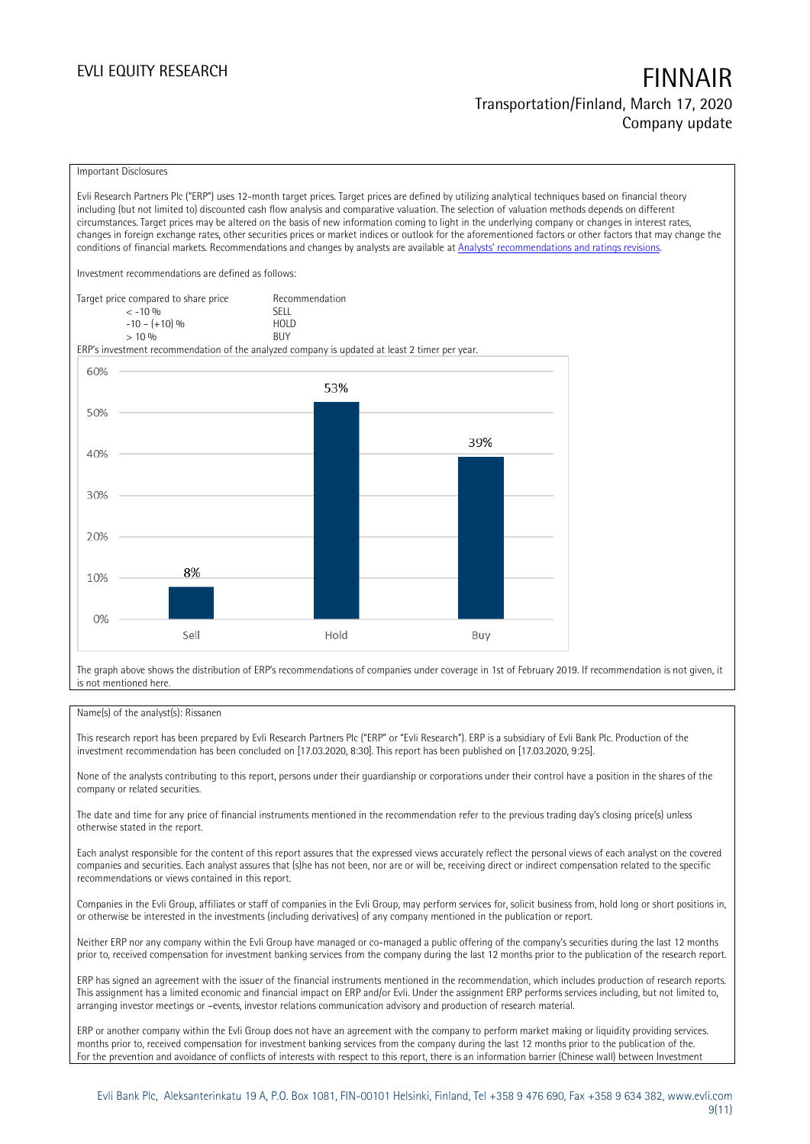### Important Disclosures

Evli Research Partners Plc ("ERP") uses 12-month target prices. Target prices are defined by utilizing analytical techniques based on financial theory including (but not limited to) discounted cash flow analysis and comparative valuation. The selection of valuation methods depends on different circumstances. Target prices may be altered on the basis of new information coming to light in the underlying company or changes in interest rates, changes in foreign exchange rates, other securities prices or market indices or outlook for the aforementioned factors or other factors that may change the conditions of financial markets. Recommendations and changes by analysts are available at [Analysts' recommendations and ratings revisions](https://research.evli.com/JasperAllModels.action?authParam=key;461&authParam=x;G3rNagWrtf7K&authType=3).

Investment recommendations are defined as follows:

| Target price compared to share price | Recommendation                |
|--------------------------------------|-------------------------------|
| $<-10.96$                            | <b>SFII</b>                   |
| $-10 - (+10)$ %                      | H <sub>O</sub> I <sub>D</sub> |
| $> 10\%$                             | <b>BUY</b>                    |

ERP's investment recommendation of the analyzed company is updated at least 2 timer per year.



The graph above shows the distribution of ERP's recommendations of companies under coverage in 1st of February 2019. If recommendation is not given, it is not mentioned here.

### Name(s) of the analyst(s): Rissanen

This research report has been prepared by Evli Research Partners Plc ("ERP" or "Evli Research"). ERP is a subsidiary of Evli Bank Plc. Production of the investment recommendation has been concluded on [17.03.2020, 8:30]. This report has been published on [17.03.2020, 9:25].

None of the analysts contributing to this report, persons under their guardianship or corporations under their control have a position in the shares of the company or related securities.

The date and time for any price of financial instruments mentioned in the recommendation refer to the previous trading day's closing price(s) unless otherwise stated in the report.

Each analyst responsible for the content of this report assures that the expressed views accurately reflect the personal views of each analyst on the covered companies and securities. Each analyst assures that (s)he has not been, nor are or will be, receiving direct or indirect compensation related to the specific recommendations or views contained in this report.

Companies in the Evli Group, affiliates or staff of companies in the Evli Group, may perform services for, solicit business from, hold long or short positions in, or otherwise be interested in the investments (including derivatives) of any company mentioned in the publication or report.

Neither ERP nor any company within the Evli Group have managed or co-managed a public offering of the company's securities during the last 12 months prior to, received compensation for investment banking services from the company during the last 12 months prior to the publication of the research report.

ERP has signed an agreement with the issuer of the financial instruments mentioned in the recommendation, which includes production of research reports. This assignment has a limited economic and financial impact on ERP and/or Evli. Under the assignment ERP performs services including, but not limited to, arranging investor meetings or –events, investor relations communication advisory and production of research material.

ERP or another company within the Evli Group does not have an agreement with the company to perform market making or liquidity providing services. months prior to, received compensation for investment banking services from the company during the last 12 months prior to the publication of the. For the prevention and avoidance of conflicts of interests with respect to this report, there is an information barrier (Chinese wall) between Investment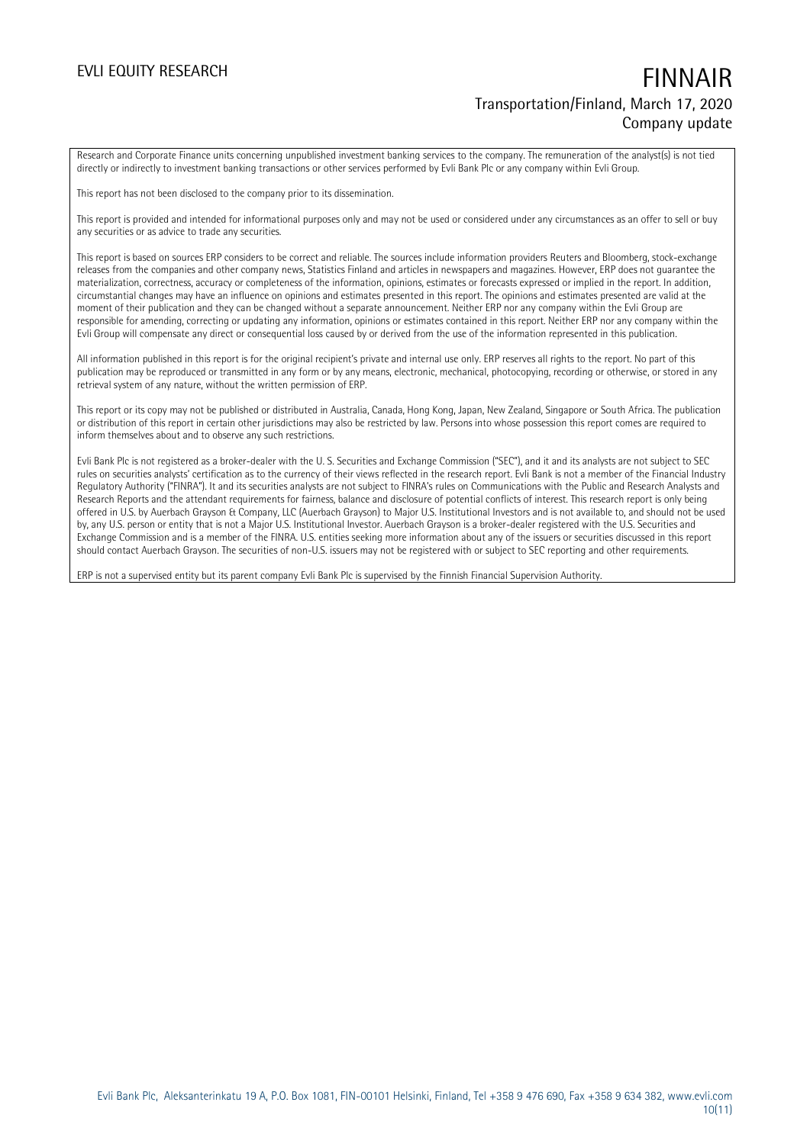Research and Corporate Finance units concerning unpublished investment banking services to the company. The remuneration of the analyst(s) is not tied directly or indirectly to investment banking transactions or other services performed by Evli Bank Plc or any company within Evli Group.

This report has not been disclosed to the company prior to its dissemination.

This report is provided and intended for informational purposes only and may not be used or considered under any circumstances as an offer to sell or buy any securities or as advice to trade any securities.

This report is based on sources ERP considers to be correct and reliable. The sources include information providers Reuters and Bloomberg, stock-exchange releases from the companies and other company news, Statistics Finland and articles in newspapers and magazines. However, ERP does not guarantee the materialization, correctness, accuracy or completeness of the information, opinions, estimates or forecasts expressed or implied in the report. In addition, circumstantial changes may have an influence on opinions and estimates presented in this report. The opinions and estimates presented are valid at the moment of their publication and they can be changed without a separate announcement. Neither ERP nor any company within the Evli Group are responsible for amending, correcting or updating any information, opinions or estimates contained in this report. Neither ERP nor any company within the Evli Group will compensate any direct or consequential loss caused by or derived from the use of the information represented in this publication.

All information published in this report is for the original recipient's private and internal use only. ERP reserves all rights to the report. No part of this publication may be reproduced or transmitted in any form or by any means, electronic, mechanical, photocopying, recording or otherwise, or stored in any retrieval system of any nature, without the written permission of ERP.

This report or its copy may not be published or distributed in Australia, Canada, Hong Kong, Japan, New Zealand, Singapore or South Africa. The publication or distribution of this report in certain other jurisdictions may also be restricted by law. Persons into whose possession this report comes are required to inform themselves about and to observe any such restrictions.

Evli Bank Plc is not registered as a broker-dealer with the U. S. Securities and Exchange Commission ("SEC"), and it and its analysts are not subject to SEC rules on securities analysts' certification as to the currency of their views reflected in the research report. Evli Bank is not a member of the Financial Industry Regulatory Authority ("FINRA"). It and its securities analysts are not subject to FINRA's rules on Communications with the Public and Research Analysts and Research Reports and the attendant requirements for fairness, balance and disclosure of potential conflicts of interest. This research report is only being offered in U.S. by Auerbach Grayson & Company, LLC (Auerbach Grayson) to Major U.S. Institutional Investors and is not available to, and should not be used by, any U.S. person or entity that is not a Major U.S. Institutional Investor. Auerbach Grayson is a broker-dealer registered with the U.S. Securities and Exchange Commission and is a member of the FINRA. U.S. entities seeking more information about any of the issuers or securities discussed in this report should contact Auerbach Grayson. The securities of non-U.S. issuers may not be registered with or subject to SEC reporting and other requirements.

ERP is not a supervised entity but its parent company Evli Bank Plc is supervised by the Finnish Financial Supervision Authority.